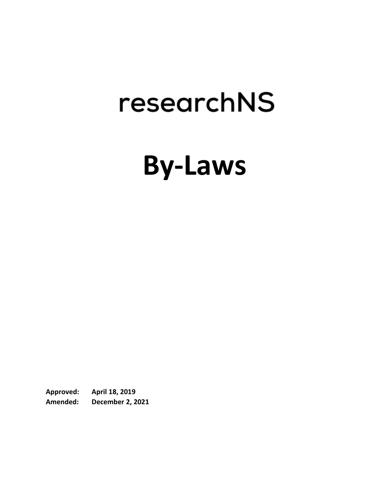# researchNS

# **By-Laws**

**Approved: April 18, 2019 Amended: December 2, 2021**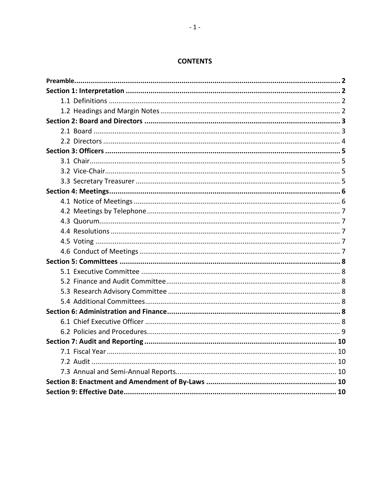#### **CONTENTS**

<span id="page-1-0"></span>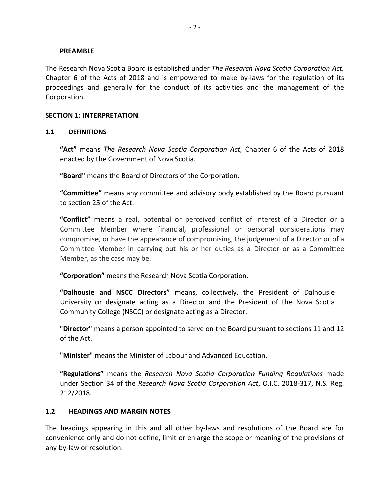#### **PREAMBLE**

The Research Nova Scotia Board is established under *The Research Nova Scotia Corporation Act,*  Chapter 6 of the Acts of 2018 and is empowered to make by-laws for the regulation of its proceedings and generally for the conduct of its activities and the management of the Corporation.

#### <span id="page-2-0"></span>**SECTION 1: INTERPRETATION**

#### <span id="page-2-1"></span>**1.1 DEFINITIONS**

**"Act"** means *The Research Nova Scotia Corporation Act,* Chapter 6 of the Acts of 2018 enacted by the Government of Nova Scotia.

**"Board"** means the Board of Directors of the Corporation.

**"Committee"** means any committee and advisory body established by the Board pursuant to section 25 of the Act.

**"Conflict"** means a real, potential or perceived conflict of interest of a Director or a Committee Member where financial, professional or personal considerations may compromise, or have the appearance of compromising, the judgement of a Director or of a Committee Member in carrying out his or her duties as a Director or as a Committee Member, as the case may be.

**"Corporation"** means the Research Nova Scotia Corporation.

**"Dalhousie and NSCC Directors"** means, collectively, the President of Dalhousie University or designate acting as a Director and the President of the Nova Scotia Community College (NSCC) or designate acting as a Director.

**"Director"** means a person appointed to serve on the Board pursuant to sections 11 and 12 of the Act.

**"Minister"** means the Minister of Labour and Advanced Education.

**"Regulations"** means the *Research Nova Scotia Corporation Funding Regulations* made under Section 34 of the *Research Nova Scotia Corporation Act*, O.I.C. 2018-317, N.S. Reg. 212/2018.

#### <span id="page-2-2"></span>**1.2 HEADINGS AND MARGIN NOTES**

The headings appearing in this and all other by-laws and resolutions of the Board are for convenience only and do not define, limit or enlarge the scope or meaning of the provisions of any by-law or resolution.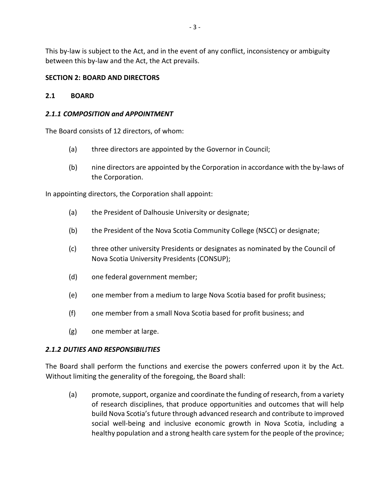<span id="page-3-0"></span>This by-law is subject to the Act, and in the event of any conflict, inconsistency or ambiguity between this by-law and the Act, the Act prevails.

# **SECTION 2: BOARD AND DIRECTORS**

# <span id="page-3-1"></span>**2.1 BOARD**

# *2.1.1 COMPOSITION and APPOINTMENT*

The Board consists of 12 directors, of whom:

- (a) three directors are appointed by the Governor in Council;
- (b) nine directors are appointed by the Corporation in accordance with the by-laws of the Corporation.

In appointing directors, the Corporation shall appoint:

- (a) the President of Dalhousie University or designate;
- (b) the President of the Nova Scotia Community College (NSCC) or designate;
- (c) three other university Presidents or designates as nominated by the Council of Nova Scotia University Presidents (CONSUP);
- (d) one federal government member;
- (e) one member from a medium to large Nova Scotia based for profit business;
- (f) one member from a small Nova Scotia based for profit business; and
- (g) one member at large.

# *2.1.2 DUTIES AND RESPONSIBILITIES*

The Board shall perform the functions and exercise the powers conferred upon it by the Act. Without limiting the generality of the foregoing, the Board shall:

(a) promote, support, organize and coordinate the funding of research, from a variety of research disciplines, that produce opportunities and outcomes that will help build Nova Scotia's future through advanced research and contribute to improved social well-being and inclusive economic growth in Nova Scotia, including a healthy population and a strong health care system for the people of the province;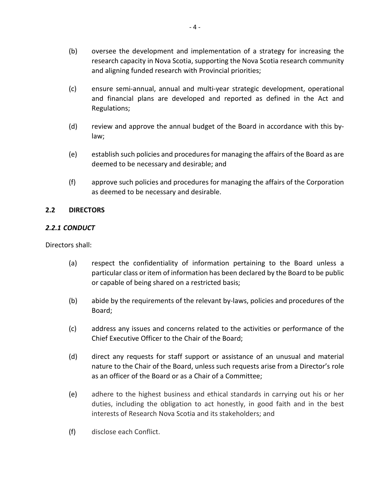- (b) oversee the development and implementation of a strategy for increasing the research capacity in Nova Scotia, supporting the Nova Scotia research community and aligning funded research with Provincial priorities;
- (c) ensure semi-annual, annual and multi-year strategic development, operational and financial plans are developed and reported as defined in the Act and Regulations;
- (d) review and approve the annual budget of the Board in accordance with this bylaw;
- (e) establish such policies and procedures for managing the affairs of the Board as are deemed to be necessary and desirable; and
- (f) approve such policies and procedures for managing the affairs of the Corporation as deemed to be necessary and desirable.

#### <span id="page-4-0"></span>**2.2 DIRECTORS**

#### *2.2.1 CONDUCT*

Directors shall:

- (a) respect the confidentiality of information pertaining to the Board unless a particular class or item of information has been declared by the Board to be public or capable of being shared on a restricted basis;
- (b) abide by the requirements of the relevant by-laws, policies and procedures of the Board;
- (c) address any issues and concerns related to the activities or performance of the Chief Executive Officer to the Chair of the Board;
- (d) direct any requests for staff support or assistance of an unusual and material nature to the Chair of the Board, unless such requests arise from a Director's role as an officer of the Board or as a Chair of a Committee;
- (e) adhere to the highest business and ethical standards in carrying out his or her duties, including the obligation to act honestly, in good faith and in the best interests of Research Nova Scotia and its stakeholders; and
- (f) disclose each Conflict.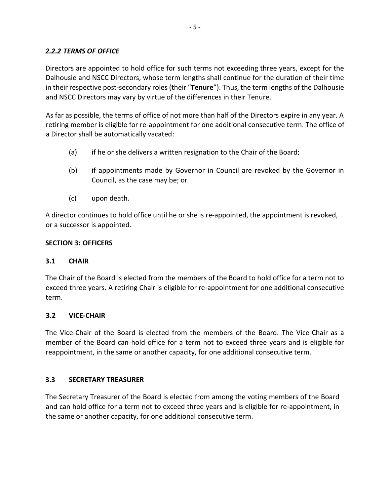# *2.2.2 TERMS OF OFFICE*

Directors are appointed to hold office for such terms not exceeding three years, except for the Dalhousie and NSCC Directors, whose term lengths shall continue for the duration of their time in their respective post-secondary roles (their "**Tenure**"). Thus, the term lengths of the Dalhousie and NSCC Directors may vary by virtue of the differences in their Tenure.

As far as possible, the terms of office of not more than half of the Directors expire in any year. A retiring member is eligible for re-appointment for one additional consecutive term. The office of a Director shall be automatically vacated:

- (a) if he or she delivers a written resignation to the Chair of the Board;
- (b) if appointments made by Governor in Council are revoked by the Governor in Council, as the case may be; or
- (c) upon death.

A director continues to hold office until he or she is re-appointed, the appointment is revoked, or a successor is appointed.

#### <span id="page-5-0"></span>**SECTION 3: OFFICERS**

#### <span id="page-5-1"></span>**3.1 CHAIR**

The Chair of the Board is elected from the members of the Board to hold office for a term not to exceed three years. A retiring Chair is eligible for re-appointment for one additional consecutive term.

#### <span id="page-5-2"></span>**3.2 VICE-CHAIR**

The Vice-Chair of the Board is elected from the members of the Board. The Vice-Chair as a member of the Board can hold office for a term not to exceed three years and is eligible for reappointment, in the same or another capacity, for one additional consecutive term.

#### <span id="page-5-3"></span>**3.3 SECRETARY TREASURER**

The Secretary Treasurer of the Board is elected from among the voting members of the Board and can hold office for a term not to exceed three years and is eligible for re-appointment, in the same or another capacity, for one additional consecutive term.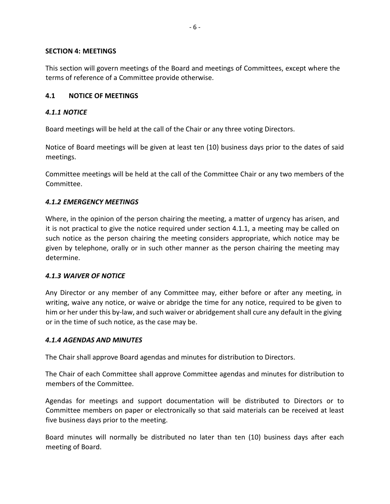#### <span id="page-6-0"></span>**SECTION 4: MEETINGS**

This section will govern meetings of the Board and meetings of Committees, except where the terms of reference of a Committee provide otherwise.

# <span id="page-6-1"></span>**4.1 NOTICE OF MEETINGS**

# *4.1.1 NOTICE*

Board meetings will be held at the call of the Chair or any three voting Directors.

Notice of Board meetings will be given at least ten (10) business days prior to the dates of said meetings.

Committee meetings will be held at the call of the Committee Chair or any two members of the Committee.

# *4.1.2 EMERGENCY MEETINGS*

Where, in the opinion of the person chairing the meeting, a matter of urgency has arisen, and it is not practical to give the notice required under section 4.1.1, a meeting may be called on such notice as the person chairing the meeting considers appropriate, which notice may be given by telephone, orally or in such other manner as the person chairing the meeting may determine.

# *4.1.3 WAIVER OF NOTICE*

Any Director or any member of any Committee may, either before or after any meeting, in writing, waive any notice, or waive or abridge the time for any notice, required to be given to him or her under this by-law, and such waiver or abridgement shall cure any default in the giving or in the time of such notice, as the case may be.

# *4.1.4 AGENDAS AND MINUTES*

The Chair shall approve Board agendas and minutes for distribution to Directors.

The Chair of each Committee shall approve Committee agendas and minutes for distribution to members of the Committee.

Agendas for meetings and support documentation will be distributed to Directors or to Committee members on paper or electronically so that said materials can be received at least five business days prior to the meeting.

Board minutes will normally be distributed no later than ten (10) business days after each meeting of Board.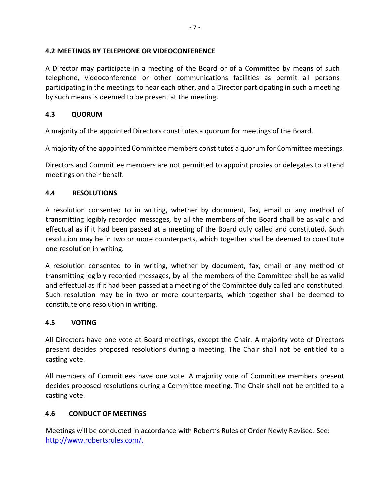#### <span id="page-7-0"></span>**4.2 MEETINGS BY TELEPHONE OR VIDEOCONFERENCE**

A Director may participate in a meeting of the Board or of a Committee by means of such telephone, videoconference or other communications facilities as permit all persons participating in the meetings to hear each other, and a Director participating in such a meeting by such means is deemed to be present at the meeting.

#### <span id="page-7-1"></span>**4.3 QUORUM**

A majority of the appointed Directors constitutes a quorum for meetings of the Board.

A majority of the appointed Committee members constitutes a quorum for Committee meetings.

Directors and Committee members are not permitted to appoint proxies or delegates to attend meetings on their behalf.

#### <span id="page-7-2"></span>**4.4 RESOLUTIONS**

A resolution consented to in writing, whether by document, fax, email or any method of transmitting legibly recorded messages, by all the members of the Board shall be as valid and effectual as if it had been passed at a meeting of the Board duly called and constituted. Such resolution may be in two or more counterparts, which together shall be deemed to constitute one resolution in writing.

A resolution consented to in writing, whether by document, fax, email or any method of transmitting legibly recorded messages, by all the members of the Committee shall be as valid and effectual as if it had been passed at a meeting of the Committee duly called and constituted. Such resolution may be in two or more counterparts, which together shall be deemed to constitute one resolution in writing.

#### <span id="page-7-3"></span>**4.5 VOTING**

All Directors have one vote at Board meetings, except the Chair. A majority vote of Directors present decides proposed resolutions during a meeting. The Chair shall not be entitled to a casting vote.

All members of Committees have one vote. A majority vote of Committee members present decides proposed resolutions during a Committee meeting. The Chair shall not be entitled to a casting vote.

#### <span id="page-7-4"></span>**4.6 CONDUCT OF MEETINGS**

Meetings will be conducted in accordance with Robert's Rules of Order Newly Revised. See: [http://www.robertsrules.com/.](http://www.robertsrules.com/)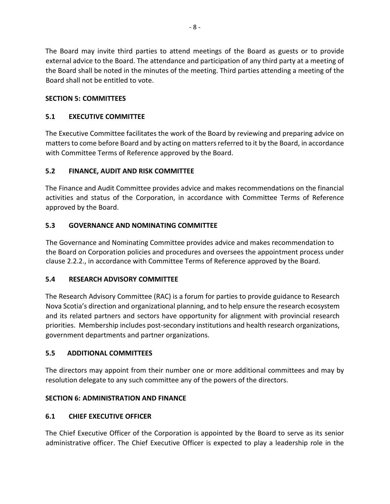The Board may invite third parties to attend meetings of the Board as guests or to provide external advice to the Board. The attendance and participation of any third party at a meeting of the Board shall be noted in the minutes of the meeting. Third parties attending a meeting of the Board shall not be entitled to vote.

# <span id="page-8-0"></span>**SECTION 5: COMMITTEES**

# <span id="page-8-1"></span>**5.1 EXECUTIVE COMMITTEE**

The Executive Committee facilitates the work of the Board by reviewing and preparing advice on matters to come before Board and by acting on matters referred to it by the Board, in accordance with Committee Terms of Reference approved by the Board.

# <span id="page-8-2"></span>**5.2 FINANCE, AUDIT AND RISK COMMITTEE**

The Finance and Audit Committee provides advice and makes recommendations on the financial activities and status of the Corporation, in accordance with Committee Terms of Reference approved by the Board.

# **5.3 GOVERNANCE AND NOMINATING COMMITTEE**

The Governance and Nominating Committee provides advice and makes recommendation to the Board on Corporation policies and procedures and oversees the appointment process under clause 2.2.2., in accordance with Committee Terms of Reference approved by the Board.

# <span id="page-8-3"></span>**5.4 RESEARCH ADVISORY COMMITTEE**

The Research Advisory Committee (RAC) is a forum for parties to provide guidance to Research Nova Scotia's direction and organizational planning, and to help ensure the research ecosystem and its related partners and sectors have opportunity for alignment with provincial research priorities. Membership includes post-secondary institutions and health research organizations, government departments and partner organizations.

# <span id="page-8-4"></span>**5.5 ADDITIONAL COMMITTEES**

The directors may appoint from their number one or more additional committees and may by resolution delegate to any such committee any of the powers of the directors.

# <span id="page-8-5"></span>**SECTION 6: ADMINISTRATION AND FINANCE**

# <span id="page-8-6"></span>**6.1 CHIEF EXECUTIVE OFFICER**

The Chief Executive Officer of the Corporation is appointed by the Board to serve as its senior administrative officer. The Chief Executive Officer is expected to play a leadership role in the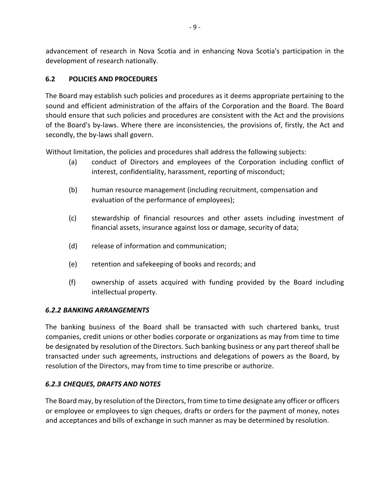advancement of research in Nova Scotia and in enhancing Nova Scotia's participation in the development of research nationally.

# <span id="page-9-0"></span>**6.2 POLICIES AND PROCEDURES**

The Board may establish such policies and procedures as it deems appropriate pertaining to the sound and efficient administration of the affairs of the Corporation and the Board. The Board should ensure that such policies and procedures are consistent with the Act and the provisions of the Board's by-laws. Where there are inconsistencies, the provisions of, firstly, the Act and secondly, the by-laws shall govern.

Without limitation, the policies and procedures shall address the following subjects:

- (a) conduct of Directors and employees of the Corporation including conflict of interest, confidentiality, harassment, reporting of misconduct;
- (b) human resource management (including recruitment, compensation and evaluation of the performance of employees);
- (c) stewardship of financial resources and other assets including investment of financial assets, insurance against loss or damage, security of data;
- (d) release of information and communication;
- (e) retention and safekeeping of books and records; and
- (f) ownership of assets acquired with funding provided by the Board including intellectual property.

# *6.2.2 BANKING ARRANGEMENTS*

The banking business of the Board shall be transacted with such chartered banks, trust companies, credit unions or other bodies corporate or organizations as may from time to time be designated by resolution of the Directors. Such banking business or any part thereof shall be transacted under such agreements, instructions and delegations of powers as the Board, by resolution of the Directors, may from time to time prescribe or authorize.

# *6.2.3 CHEQUES, DRAFTS AND NOTES*

The Board may, by resolution of the Directors, from time to time designate any officer or officers or employee or employees to sign cheques, drafts or orders for the payment of money, notes and acceptances and bills of exchange in such manner as may be determined by resolution.